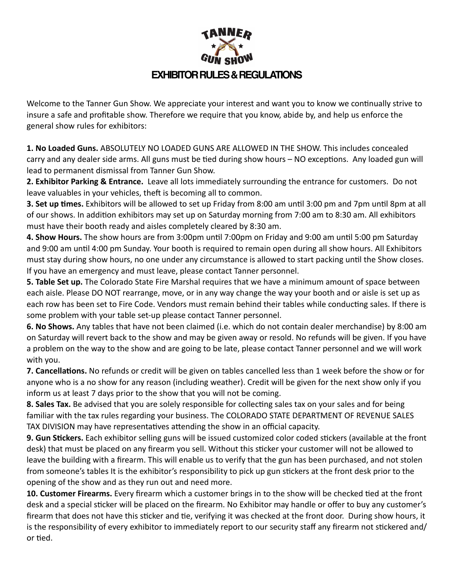## **EXHIBITOR RULES & REGULATIONS**

Welcome to the Tanner Gun Show. We appreciate your interest and want you to know we continually strive to insure a safe and profitable show. Therefore we require that you know, abide by, and help us enforce the general show rules for exhibitors:

**1. No Loaded Guns.** ABSOLUTELY NO LOADED GUNS ARE ALLOWED IN THE SHOW. This includes concealed carry and any dealer side arms. All guns must be tied during show hours – NO exceptions. Any loaded gun will lead to permanent dismissal from Tanner Gun Show.

**2. Exhibitor Parking & Entrance.** Leave all lots immediately surrounding the entrance for customers. Do not leave valuables in your vehicles, theft is becoming all to common.

**3. Set up times.** Exhibitors will be allowed to set up Friday from 8:00 am until 3:00 pm and 7pm until 8pm at all of our shows. In addition exhibitors may set up on Saturday morning from 7:00 am to 8:30 am. All exhibitors must have their booth ready and aisles completely cleared by 8:30 am.

**4. Show Hours.** The show hours are from 3:00pm until 7:00pm on Friday and 9:00 am until 5:00 pm Saturday and 9:00 am until 4:00 pm Sunday. Your booth is required to remain open during all show hours. All Exhibitors must stay during show hours, no one under any circumstance is allowed to start packing until the Show closes. If you have an emergency and must leave, please contact Tanner personnel.

**5. Table Set up.** The Colorado State Fire Marshal requires that we have a minimum amount of space between each aisle. Please DO NOT rearrange, move, or in any way change the way your booth and or aisle is set up as each row has been set to Fire Code. Vendors must remain behind their tables while conducting sales. If there is some problem with your table set-up please contact Tanner personnel.

**6. No Shows.** Any tables that have not been claimed (i.e. which do not contain dealer merchandise) by 8:00 am on Saturday will revert back to the show and may be given away or resold. No refunds will be given. If you have a problem on the way to the show and are going to be late, please contact Tanner personnel and we will work with you.

**7. Cancellations.** No refunds or credit will be given on tables cancelled less than 1 week before the show or for anyone who is a no show for any reason (including weather). Credit will be given for the next show only if you inform us at least 7 days prior to the show that you will not be coming.

**8. Sales Tax.** Be advised that you are solely responsible for collecting sales tax on your sales and for being familiar with the tax rules regarding your business. The COLORADO STATE DEPARTMENT OF REVENUE SALES TAX DIVISION may have representatives attending the show in an official capacity.

**9. Gun Stickers.** Each exhibitor selling guns will be issued customized color coded stickers (available at the front desk) that must be placed on any firearm you sell. Without this sticker your customer will not be allowed to leave the building with a firearm. This will enable us to verify that the gun has been purchased, and not stolen from someone's tables It is the exhibitor's responsibility to pick up gun stickers at the front desk prior to the opening of the show and as they run out and need more.

**10. Customer Firearms.** Every firearm which a customer brings in to the show will be checked tied at the front desk and a special sticker will be placed on the firearm. No Exhibitor may handle or offer to buy any customer's firearm that does not have this sticker and tie, verifying it was checked at the front door. During show hours, it is the responsibility of every exhibitor to immediately report to our security staff any firearm not stickered and/ or tied.